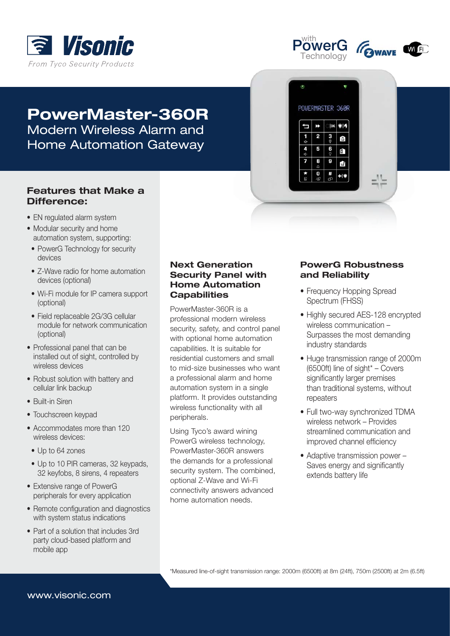



 $\ddot{\theta}$ 

đ

 $\frac{1}{4}$ 

 $\frac{4}{4}$ 5

POWERMASTER 360R

2  $3<sub>o</sub>$ 

 $\bf{0}$ 

 $|OK$  $\bullet$ <sub>1</sub>

 $\frac{6}{9}$ 

Ō

 $\mathbf{f}$ Ġ

 $+|\hat{v}|$ 



# PowerMaster-360R Modern Wireless Alarm and Home Automation Gateway

# **Features that Make a** Difference:

- EN regulated alarm system
- Modular security and home automation system, supporting:
- PowerG Technology for security devices
- Z-Wave radio for home automation devices (optional)
- Wi-Fi module for IP camera support (optional)
- Field replaceable 2G/3G cellular module for network communication (optional)
- Professional panel that can be installed out of sight, controlled by wireless devices
- Robust solution with battery and cellular link backup
- Built-in Siren
- Touchscreen keypad
- Accommodates more than 120 wireless devices:
	- Up to 64 zones
- Up to 10 PIR cameras, 32 keypads, 32 keyfobs, 8 sirens, 4 repeaters
- Extensive range of PowerG peripherals for every application
- Remote configuration and diagnostics with system status indications
- Part of a solution that includes 3rd party cloud-based platform and mobile app

#### **Next Generation Security Panel with Home Automation Capabilities**

PowerMaster-360R is a professional modern wireless security, safety, and control panel with optional home automation capabilities. It is suitable for residential customers and small to mid-size businesses who want a professional alarm and home automation system in a single platform. It provides outstanding wireless functionality with all peripherals.

Using Tyco's award wining PowerG wireless technology, PowerMaster-360R answers the demands for a professional security system. The combined, optional Z-Wave and Wi-Fi connectivity answers advanced home automation needs.

#### **PowerG Robustness** and Reliability

- Frequency Hopping Spread Spectrum (FHSS)
- Highly secured AES-128 encrypted wireless communication -Surpasses the most demanding industry standards
- Huge transmission range of 2000m  $(6500ft)$  line of sight\* – Covers significantly larger premises than traditional systems, without repeaters
- Full two-way synchronized TDMA wireless network – Provides streamlined communication and improved channel efficiency
- $\bullet$  Adaptive transmission power  $-$ Saves energy and significantly extends battery life